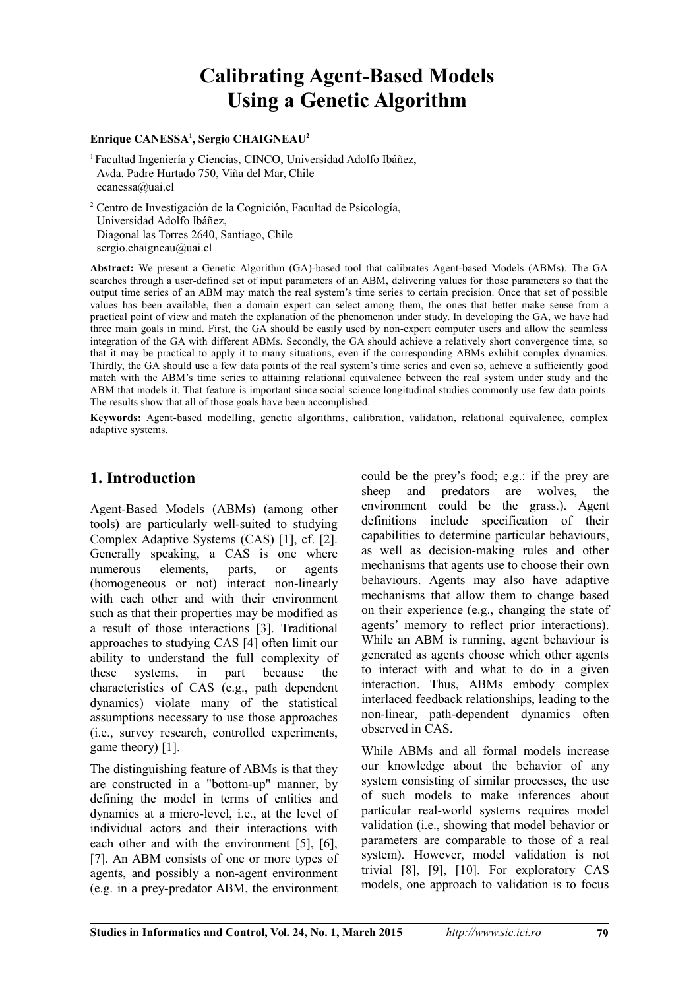# **Calibrating Agent-Based Models Using a Genetic Algorithm**

#### **Enrique CANESSA<sup>1</sup> , Sergio CHAIGNEAU<sup>2</sup>**

<sup>1</sup>Facultad Ingeniería y Ciencias, CINCO, Universidad Adolfo Ibáñez, Avda. Padre Hurtado 750, Viña del Mar, Chile ecanessa@uai.cl

2 Centro de Investigación de la Cognición, Facultad de Psicología, Universidad Adolfo Ibáñez, Diagonal las Torres 2640, Santiago, Chile sergio.chaigneau@uai.cl

**Abstract:** We present a Genetic Algorithm (GA)-based tool that calibrates Agent-based Models (ABMs). The GA searches through a user-defined set of input parameters of an ABM, delivering values for those parameters so that the output time series of an ABM may match the real system's time series to certain precision. Once that set of possible values has been available, then a domain expert can select among them, the ones that better make sense from a practical point of view and match the explanation of the phenomenon under study. In developing the GA, we have had three main goals in mind. First, the GA should be easily used by non-expert computer users and allow the seamless integration of the GA with different ABMs. Secondly, the GA should achieve a relatively short convergence time, so that it may be practical to apply it to many situations, even if the corresponding ABMs exhibit complex dynamics. Thirdly, the GA should use a few data points of the real system's time series and even so, achieve a sufficiently good match with the ABM's time series to attaining relational equivalence between the real system under study and the ABM that models it. That feature is important since social science longitudinal studies commonly use few data points. The results show that all of those goals have been accomplished.

**Keywords:** Agent-based modelling, genetic algorithms, calibration, validation, relational equivalence, complex adaptive systems.

### **1. Introduction**

Agent-Based Models (ABMs) (among other tools) are particularly well-suited to studying Complex Adaptive Systems (CAS) [1], cf. [2]. Generally speaking, a CAS is one where numerous elements, parts, or agents (homogeneous or not) interact non-linearly with each other and with their environment such as that their properties may be modified as a result of those interactions [3]. Traditional approaches to studying CAS [4] often limit our ability to understand the full complexity of these systems, in part because the characteristics of CAS (e.g., path dependent dynamics) violate many of the statistical assumptions necessary to use those approaches (i.e., survey research, controlled experiments, game theory) [1].

The distinguishing feature of ABMs is that they are constructed in a "bottom-up" manner, by defining the model in terms of entities and dynamics at a micro-level, i.e., at the level of individual actors and their interactions with each other and with the environment [5], [6], [7]. An ABM consists of one or more types of agents, and possibly a non-agent environment (e.g. in a prey-predator ABM, the environment could be the prey's food; e.g.: if the prey are sheep and predators are wolves, the environment could be the grass.). Agent definitions include specification of their capabilities to determine particular behaviours, as well as decision-making rules and other mechanisms that agents use to choose their own behaviours. Agents may also have adaptive mechanisms that allow them to change based on their experience (e.g., changing the state of agents' memory to reflect prior interactions). While an ABM is running, agent behaviour is generated as agents choose which other agents to interact with and what to do in a given interaction. Thus, ABMs embody complex interlaced feedback relationships, leading to the non-linear, path-dependent dynamics often observed in CAS.

While ABMs and all formal models increase our knowledge about the behavior of any system consisting of similar processes, the use of such models to make inferences about particular real-world systems requires model validation (i.e., showing that model behavior or parameters are comparable to those of a real system). However, model validation is not trivial [8], [9], [10]. For exploratory CAS models, one approach to validation is to focus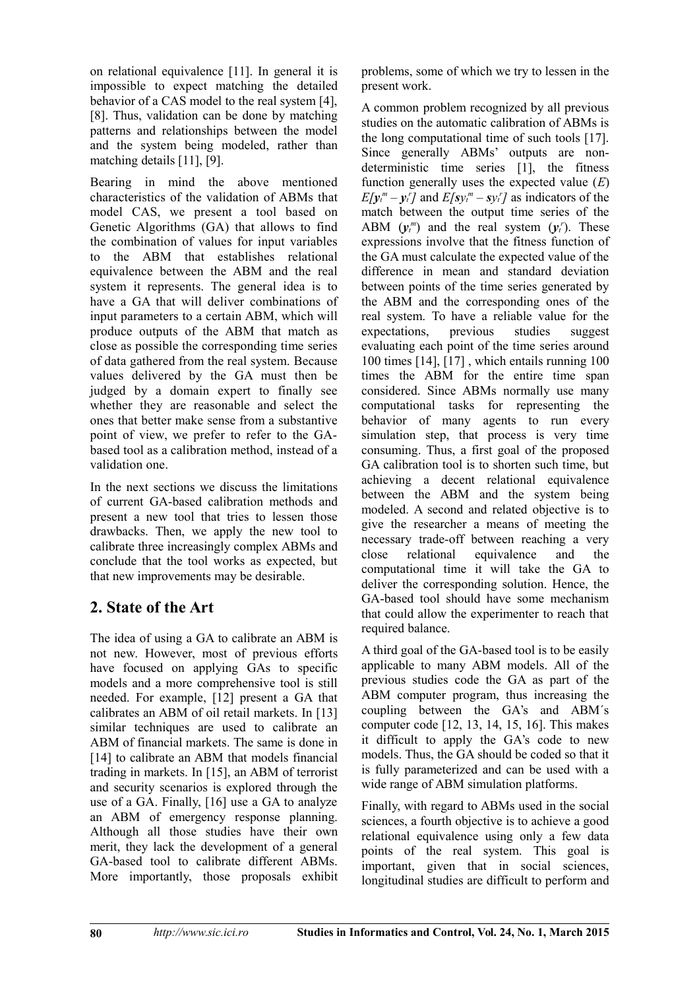on relational equivalence [11]. In general it is impossible to expect matching the detailed behavior of a CAS model to the real system [4], [8]. Thus, validation can be done by matching patterns and relationships between the model and the system being modeled, rather than matching details [11], [9].

Bearing in mind the above mentioned characteristics of the validation of ABMs that model CAS, we present a tool based on Genetic Algorithms (GA) that allows to find the combination of values for input variables to the ABM that establishes relational equivalence between the ABM and the real system it represents. The general idea is to have a GA that will deliver combinations of input parameters to a certain ABM, which will produce outputs of the ABM that match as close as possible the corresponding time series of data gathered from the real system. Because values delivered by the GA must then be judged by a domain expert to finally see whether they are reasonable and select the ones that better make sense from a substantive point of view, we prefer to refer to the GAbased tool as a calibration method, instead of a validation one.

In the next sections we discuss the limitations of current GA-based calibration methods and present a new tool that tries to lessen those drawbacks. Then, we apply the new tool to calibrate three increasingly complex ABMs and conclude that the tool works as expected, but that new improvements may be desirable.

## **2. State of the Art**

The idea of using a GA to calibrate an ABM is not new. However, most of previous efforts have focused on applying GAs to specific models and a more comprehensive tool is still needed. For example, [12] present a GA that calibrates an ABM of oil retail markets. In [13] similar techniques are used to calibrate an ABM of financial markets. The same is done in [14] to calibrate an ABM that models financial trading in markets. In [15], an ABM of terrorist and security scenarios is explored through the use of a GA. Finally, [16] use a GA to analyze an ABM of emergency response planning. Although all those studies have their own merit, they lack the development of a general GA-based tool to calibrate different ABMs. More importantly, those proposals exhibit problems, some of which we try to lessen in the present work.

A common problem recognized by all previous studies on the automatic calibration of ABMs is the long computational time of such tools [17]. Since generally ABMs' outputs are nondeterministic time series [1], the fitness function generally uses the expected value (*E*)  $E[y_t^m - y_t^r]$  and  $E[sy_t^m - sy_t^r]$  as indicators of the match between the output time series of the ABM  $(\mathbf{y}_t^m)$  and the real system  $(\mathbf{y}_t^r)$ . These expressions involve that the fitness function of the GA must calculate the expected value of the difference in mean and standard deviation between points of the time series generated by the ABM and the corresponding ones of the real system. To have a reliable value for the expectations. previous studies suggest expectations, previous studies evaluating each point of the time series around 100 times [14], [17] , which entails running 100 times the ABM for the entire time span considered. Since ABMs normally use many computational tasks for representing the behavior of many agents to run every simulation step, that process is very time consuming. Thus, a first goal of the proposed GA calibration tool is to shorten such time, but achieving a decent relational equivalence between the ABM and the system being modeled. A second and related objective is to give the researcher a means of meeting the necessary trade-off between reaching a very close relational equivalence and the computational time it will take the GA to deliver the corresponding solution. Hence, the GA-based tool should have some mechanism that could allow the experimenter to reach that required balance.

A third goal of the GA-based tool is to be easily applicable to many ABM models. All of the previous studies code the GA as part of the ABM computer program, thus increasing the coupling between the GA's and ABM´s computer code [12, 13, 14, 15, 16]. This makes it difficult to apply the GA's code to new models. Thus, the GA should be coded so that it is fully parameterized and can be used with a wide range of ABM simulation platforms.

Finally, with regard to ABMs used in the social sciences, a fourth objective is to achieve a good relational equivalence using only a few data points of the real system. This goal is important, given that in social sciences, longitudinal studies are difficult to perform and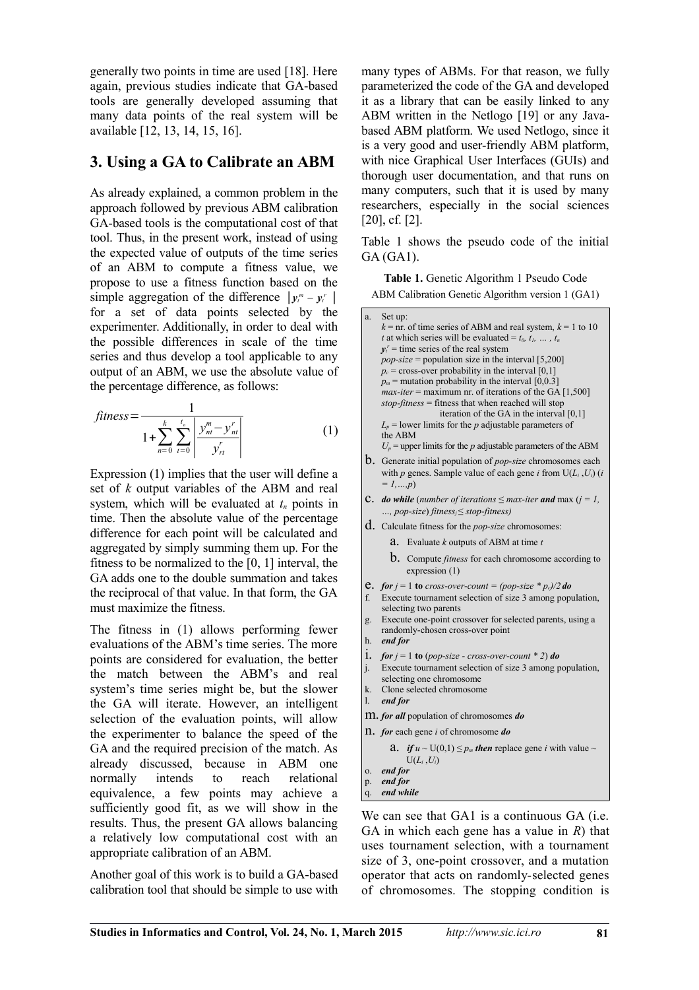generally two points in time are used [18]. Here again, previous studies indicate that GA-based tools are generally developed assuming that many data points of the real system will be available [12, 13, 14, 15, 16].

## **3. Using a GA to Calibrate an ABM**

As already explained, a common problem in the approach followed by previous ABM calibration GA-based tools is the computational cost of that tool. Thus, in the present work, instead of using the expected value of outputs of the time series of an ABM to compute a fitness value, we propose to use a fitness function based on the simple aggregation of the difference  $|y_t^m - y_t^r|$ for a set of data points selected by the experimenter. Additionally, in order to deal with the possible differences in scale of the time series and thus develop a tool applicable to any output of an ABM, we use the absolute value of the percentage difference, as follows:

$$
fitness = \frac{1}{1 + \sum_{n=0}^{k} \sum_{t=0}^{t_n} \left| \frac{y_m^m - y_n^r}{y_{rt}^r} \right|} \tag{1}
$$

Expression (1) implies that the user will define a set of *k* output variables of the ABM and real system, which will be evaluated at *tn* points in time. Then the absolute value of the percentage difference for each point will be calculated and aggregated by simply summing them up. For the fitness to be normalized to the [0, 1] interval, the GA adds one to the double summation and takes the reciprocal of that value. In that form, the GA must maximize the fitness.

The fitness in (1) allows performing fewer evaluations of the ABM's time series. The more points are considered for evaluation, the better the match between the ABM's and real system's time series might be, but the slower the GA will iterate. However, an intelligent selection of the evaluation points, will allow the experimenter to balance the speed of the GA and the required precision of the match. As already discussed, because in ABM one normally intends to reach relational equivalence, a few points may achieve a sufficiently good fit, as we will show in the results. Thus, the present GA allows balancing a relatively low computational cost with an appropriate calibration of an ABM.

Another goal of this work is to build a GA-based calibration tool that should be simple to use with many types of ABMs. For that reason, we fully parameterized the code of the GA and developed it as a library that can be easily linked to any ABM written in the Netlogo [19] or any Javabased ABM platform. We used Netlogo, since it is a very good and user-friendly ABM platform, with nice Graphical User Interfaces (GUIs) and thorough user documentation, and that runs on many computers, such that it is used by many researchers, especially in the social sciences [20], cf. [2].

Table 1 shows the pseudo code of the initial GA (GA1).

**Table 1.** Genetic Algorithm 1 Pseudo Code ABM Calibration Genetic Algorithm version 1 (GA1)

| a.             | Set up:                                                                                                         |
|----------------|-----------------------------------------------------------------------------------------------------------------|
|                | $k =$ nr. of time series of ABM and real system, $k = 1$ to 10                                                  |
|                | t at which series will be evaluated = $t_0, t_1, \ldots, t_n$                                                   |
|                | $v_t$ = time series of the real system                                                                          |
|                | $pop-size = population size in the interval [5,200]$                                                            |
|                | $p_c$ = cross-over probability in the interval [0,1]                                                            |
|                | $p_m$ = mutation probability in the interval [0,0.3]                                                            |
|                | $max\$ -iter = maximum nr. of iterations of the GA [1,500]                                                      |
|                | $stop \text{-} fitness = fitness that when reached will stop$                                                   |
|                | iteration of the GA in the interval [0,1]                                                                       |
|                | $L_p$ = lower limits for the p adjustable parameters of<br>the ABM                                              |
|                | $U_p$ = upper limits for the p adjustable parameters of the ABM                                                 |
|                |                                                                                                                 |
|                | $b$ . Generate initial population of <i>pop-size</i> chromosomes each                                           |
|                | with p genes. Sample value of each gene i from $U(L_i, U_i)$ (i                                                 |
|                | $= 1, , p$                                                                                                      |
|                | <b>C.</b> do while (number of iterations $\leq$ max-iter and max ( $i = 1$ ,                                    |
|                | , pop-size) fitness <sub>i</sub> $\leq$ stop-fitness)                                                           |
|                | $d.$ Calculate fitness for the <i>pop-size</i> chromosomes:                                                     |
|                | Evaluate $k$ outputs of ABM at time $t$<br>a.                                                                   |
|                | <b>b</b> . Compute <i>fitness</i> for each chromosome according to                                              |
|                | expression (1)                                                                                                  |
| e.             | <b>for</b> $j = 1$ to cross-over-count = (pop-size * $p_c$ )/2 do                                               |
| f.             | Execute tournament selection of size 3 among population,                                                        |
|                | selecting two parents                                                                                           |
| g.             | Execute one-point crossover for selected parents, using a                                                       |
|                | randomly-chosen cross-over point                                                                                |
| h.             | end for                                                                                                         |
| 1.             |                                                                                                                 |
|                | for $j = 1$ to (pop-size - cross-over-count * 2) do<br>Execute tournament selection of size 3 among population, |
| j.             | selecting one chromosome                                                                                        |
| k.             | Clone selected chromosome                                                                                       |
| $\mathbf{l}$ . | end for                                                                                                         |
|                | M. for all population of chromosomes do                                                                         |
|                | 11. for each gene $i$ of chromosome do                                                                          |
|                | <b>a.</b> if $u \sim U(0,1) \leq p_m$ then replace gene i with value $\sim$                                     |
|                | $U(L_i, U_i)$                                                                                                   |
| 0.             | end for                                                                                                         |
| p.             | end for                                                                                                         |
| q.             | end while                                                                                                       |

We can see that GA1 is a continuous GA (i.e. GA in which each gene has a value in *R*) that uses tournament selection, with a tournament size of 3, one-point crossover, and a mutation operator that acts on randomly-selected genes of chromosomes. The stopping condition is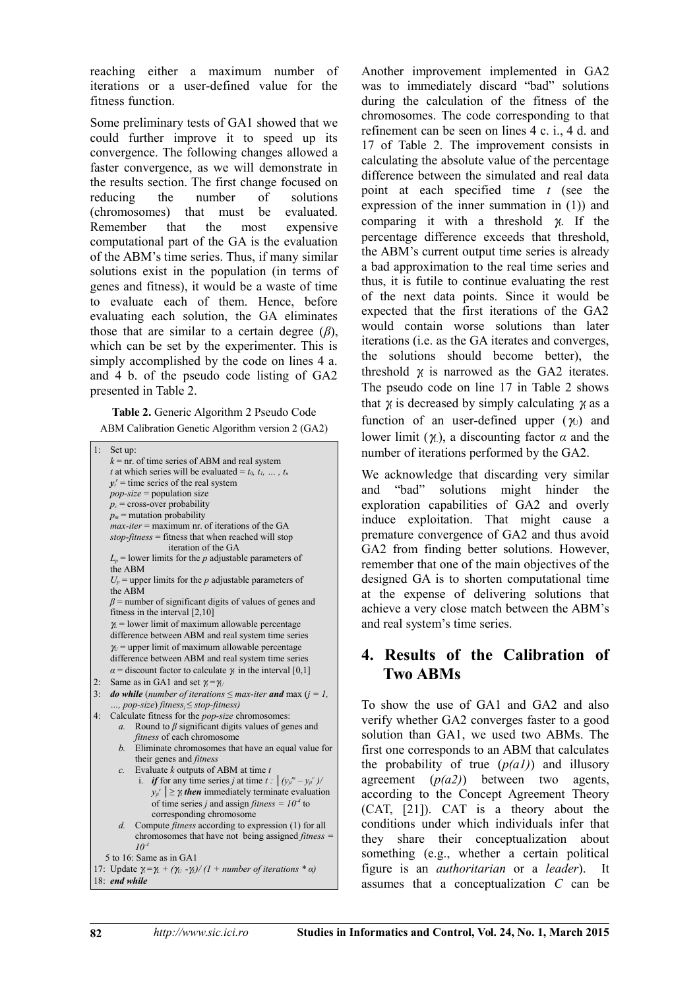reaching either a maximum number of iterations or a user-defined value for the fitness function.

Some preliminary tests of GA1 showed that we could further improve it to speed up its convergence. The following changes allowed a faster convergence, as we will demonstrate in the results section. The first change focused on reducing the number of solutions (chromosomes) that must be evaluated. Remember that the most expensive computational part of the GA is the evaluation of the ABM's time series. Thus, if many similar solutions exist in the population (in terms of genes and fitness), it would be a waste of time to evaluate each of them. Hence, before evaluating each solution, the GA eliminates those that are similar to a certain degree (*β*), which can be set by the experimenter. This is simply accomplished by the code on lines 4 a. and 4 b. of the pseudo code listing of GA2 presented in Table 2.

**Table 2.** Generic Algorithm 2 Pseudo Code

ABM Calibration Genetic Algorithm version 2 (GA2)

| 1:<br>Set up:                                                                                |
|----------------------------------------------------------------------------------------------|
| $k =$ nr. of time series of ABM and real system                                              |
| t at which series will be evaluated = $t_0$ , $t_1$ , , $t_n$                                |
| $v_t$ = time series of the real system                                                       |
| $pop-size = population size$                                                                 |
| $p_c$ = cross-over probability                                                               |
| $p_m$ = mutation probability                                                                 |
| $max\$ {-}iter = maximum nr. of iterations of the GA                                         |
| $stop-fitness$ = fitness that when reached will stop                                         |
| iteration of the GA                                                                          |
| $L_p$ = lower limits for the p adjustable parameters of<br>the ABM                           |
| $U_p$ = upper limits for the p adjustable parameters of<br>the ABM                           |
| $\beta$ = number of significant digits of values of genes and                                |
| fitness in the interval $[2,10]$                                                             |
| $\gamma$ = lower limit of maximum allowable percentage                                       |
| difference between ABM and real system time series                                           |
| $\gamma_U$ = upper limit of maximum allowable percentage                                     |
| difference between ABM and real system time series                                           |
| $\alpha$ = discount factor to calculate $\gamma$ in the interval [0,1]                       |
| Same as in GA1 and set $\gamma = \gamma_U$<br>2:                                             |
| <b>do while</b> (number of iterations $\leq$ max-iter <b>and</b> max ( $i = 1$ ,<br>3:       |
| , pop-size) fitness <sub>i</sub> $\leq$ stop-fitness)                                        |
| 4:<br>Calculate fitness for the <i>pop-size</i> chromosomes:                                 |
| Round to $\beta$ significant digits values of genes and<br>$\mathfrak{a}$ .                  |
| fitness of each chromosome                                                                   |
| Eliminate chromosomes that have an equal value for<br>b.<br>their genes and <i>fitness</i>   |
| Evaluate $k$ outputs of ABM at time $t$<br>$\mathcal{C}$ .                                   |
| <i>if</i> for any time series <i>j</i> at time $t : (y_{ji}^m - y_{ji}^r)$                   |
| $y_{ji}$ $\geq \gamma$ then immediately terminate evaluation                                 |
| of time series j and assign fitness = $104$ to                                               |
| corresponding chromosome                                                                     |
| Compute fitness according to expression (1) for all<br>$d$ .                                 |
| chromosomes that have not being assigned <i>fitness</i> $=$<br>$10^{-4}$                     |
| 5 to 16: Same as in GA1                                                                      |
| 17: Update $\gamma_i = \gamma_i + (\gamma_U - \gamma_i)/(1 + number of iterations * \alpha)$ |
| 18: end while                                                                                |

Another improvement implemented in GA2 was to immediately discard "bad" solutions during the calculation of the fitness of the chromosomes. The code corresponding to that refinement can be seen on lines 4 c. i., 4 d. and 17 of Table 2. The improvement consists in calculating the absolute value of the percentage difference between the simulated and real data point at each specified time *t* (see the expression of the inner summation in (1)) and comparing it with a threshold  $\pi$ . If the percentage difference exceeds that threshold, the ABM's current output time series is already a bad approximation to the real time series and thus, it is futile to continue evaluating the rest of the next data points. Since it would be expected that the first iterations of the GA2 would contain worse solutions than later iterations (i.e. as the GA iterates and converges, the solutions should become better), the threshold  $\alpha$  is narrowed as the GA2 iterates. The pseudo code on line 17 in Table 2 shows that  $\gamma$  is decreased by simply calculating  $\gamma$  as a function of an user-defined upper  $(\gamma_1)$  and lower limit  $(\gamma_L)$ , a discounting factor  $\alpha$  and the number of iterations performed by the GA2.

We acknowledge that discarding very similar and "bad" solutions might hinder the exploration capabilities of GA2 and overly induce exploitation. That might cause a premature convergence of GA2 and thus avoid GA2 from finding better solutions. However, remember that one of the main objectives of the designed GA is to shorten computational time at the expense of delivering solutions that achieve a very close match between the ABM's and real system's time series.

## **4. Results of the Calibration of Two ABMs**

To show the use of GA1 and GA2 and also verify whether GA2 converges faster to a good solution than GA1, we used two ABMs. The first one corresponds to an ABM that calculates the probability of true  $(p(a1))$  and illusory agreement (*p(a2)*) between two agents, according to the Concept Agreement Theory (CAT, [21]). CAT is a theory about the conditions under which individuals infer that they share their conceptualization about something (e.g., whether a certain political figure is an *authoritarian* or a *leader*). It assumes that a conceptualization *C* can be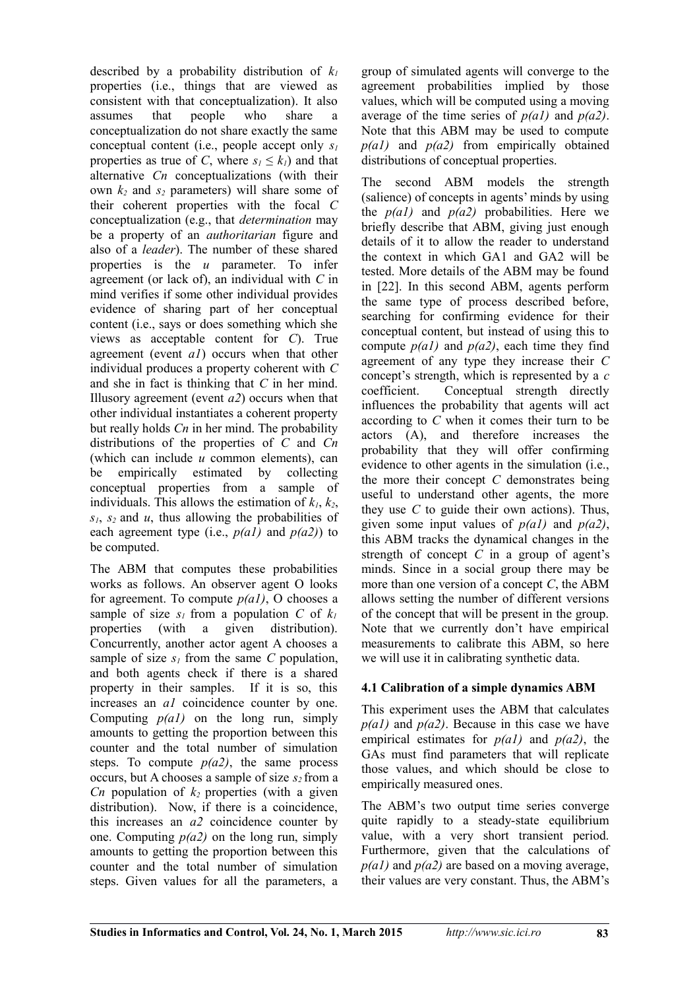described by a probability distribution of *k<sup>1</sup>* properties (i.e., things that are viewed as consistent with that conceptualization). It also assumes that people who share a conceptualization do not share exactly the same conceptual content (i.e., people accept only *s<sup>1</sup>* properties as true of *C*, where  $s_1 \leq k_1$  and that alternative *Cn* conceptualizations (with their own *k2* and *s2* parameters) will share some of their coherent properties with the focal *C* conceptualization (e.g., that *determination* may be a property of an *authoritarian* figure and also of a *leader*). The number of these shared properties is the *u* parameter. To infer agreement (or lack of), an individual with *C* in mind verifies if some other individual provides evidence of sharing part of her conceptual content (i.e., says or does something which she views as acceptable content for *C*). True agreement (event *a1*) occurs when that other individual produces a property coherent with *C* and she in fact is thinking that *C* in her mind. Illusory agreement (event *a2*) occurs when that other individual instantiates a coherent property but really holds *Cn* in her mind. The probability distributions of the properties of *C* and *Cn* (which can include *u* common elements), can be empirically estimated by collecting conceptual properties from a sample of individuals. This allows the estimation of  $k_1$ ,  $k_2$ , *s1*, *s2* and *u*, thus allowing the probabilities of each agreement type (i.e., *p(a1)* and *p(a2)*) to be computed.

The ABM that computes these probabilities works as follows. An observer agent O looks for agreement. To compute *p(a1)*, O chooses a sample of size  $s_1$  from a population *C* of  $k_1$ properties (with a given distribution). Concurrently, another actor agent A chooses a sample of size  $s<sub>l</sub>$  from the same C population, and both agents check if there is a shared property in their samples. If it is so, this increases an *a1* coincidence counter by one. Computing  $p(a1)$  on the long run, simply amounts to getting the proportion between this counter and the total number of simulation steps. To compute  $p(a2)$ , the same process occurs, but A chooses a sample of size *s2* from a *Cn* population of  $k_2$  properties (with a given distribution). Now, if there is a coincidence, this increases an *a2* coincidence counter by one. Computing *p(a2)* on the long run, simply amounts to getting the proportion between this counter and the total number of simulation steps. Given values for all the parameters, a

group of simulated agents will converge to the agreement probabilities implied by those values, which will be computed using a moving average of the time series of *p(a1)* and *p(a2)*. Note that this ABM may be used to compute *p(a1)* and *p(a2)* from empirically obtained distributions of conceptual properties.

The second ABM models the strength (salience) of concepts in agents' minds by using the  $p(a1)$  and  $p(a2)$  probabilities. Here we briefly describe that ABM, giving just enough details of it to allow the reader to understand the context in which GA1 and GA2 will be tested. More details of the ABM may be found in [22]. In this second ABM, agents perform the same type of process described before, searching for confirming evidence for their conceptual content, but instead of using this to compute *p(a1)* and *p(a2)*, each time they find agreement of any type they increase their *C* concept's strength, which is represented by a *c* coefficient. Conceptual strength directly influences the probability that agents will act according to *C* when it comes their turn to be actors (A), and therefore increases the probability that they will offer confirming evidence to other agents in the simulation (i.e., the more their concept *C* demonstrates being useful to understand other agents, the more they use *C* to guide their own actions). Thus, given some input values of *p(a1)* and *p(a2)*, this ABM tracks the dynamical changes in the strength of concept *C* in a group of agent's minds. Since in a social group there may be more than one version of a concept *C*, the ABM allows setting the number of different versions of the concept that will be present in the group. Note that we currently don't have empirical measurements to calibrate this ABM, so here we will use it in calibrating synthetic data.

#### **4.1 Calibration of a simple dynamics ABM**

This experiment uses the ABM that calculates *p(a1)* and *p(a2)*. Because in this case we have empirical estimates for *p(a1)* and *p(a2)*, the GAs must find parameters that will replicate those values, and which should be close to empirically measured ones.

The ABM's two output time series converge quite rapidly to a steady-state equilibrium value, with a very short transient period. Furthermore, given that the calculations of *p(a1)* and *p(a2)* are based on a moving average, their values are very constant. Thus, the ABM's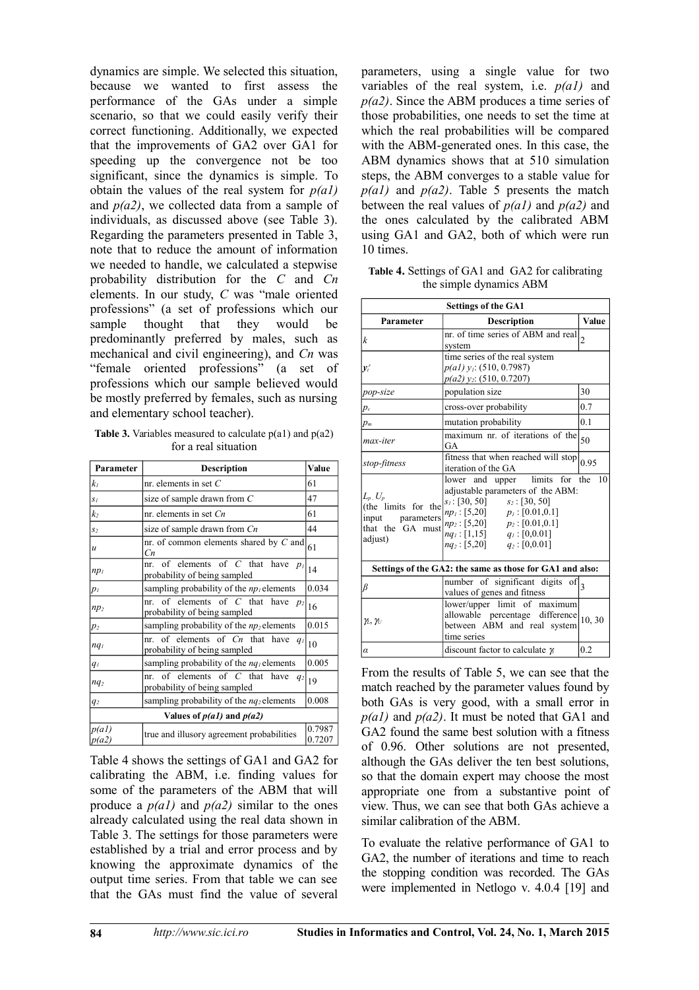dynamics are simple. We selected this situation, because we wanted to first assess the performance of the GAs under a simple scenario, so that we could easily verify their correct functioning. Additionally, we expected that the improvements of GA2 over GA1 for speeding up the convergence not be too significant, since the dynamics is simple. To obtain the values of the real system for *p(a1)* and *p(a2)*, we collected data from a sample of individuals, as discussed above (see Table 3). Regarding the parameters presented in Table 3, note that to reduce the amount of information we needed to handle, we calculated a stepwise probability distribution for the *C* and *Cn* elements. In our study, *C* was "male oriented professions" (a set of professions which our sample thought that they would be predominantly preferred by males, such as mechanical and civil engineering), and *Cn* was "female oriented professions" (a set of professions which our sample believed would be mostly preferred by females, such as nursing and elementary school teacher).

**Table 3.** Variables measured to calculate p(a1) and p(a2) for a real situation

| Parameter       | <b>Description</b>                                                             | Value            |
|-----------------|--------------------------------------------------------------------------------|------------------|
| kı              | nr. elements in set $C$                                                        | 61               |
| $S_I$           | size of sample drawn from $C$                                                  | 47               |
| $k_2$           | nr. elements in set $Cn$                                                       | 61               |
| $S_2$           | size of sample drawn from Cn                                                   | 44               |
| $\mathcal{U}$   | nr. of common elements shared by $C$ and<br>Cп                                 | 61               |
| $np_1$          | of elements of $C$ that have $p_l$<br>$nr_{-}$<br>probability of being sampled | 14               |
| $p_I$           | sampling probability of the $np_1$ elements                                    | 0.034            |
| $np_2$          | nr. of elements of C that have $p_2$<br>probability of being sampled           | 16               |
| $p_2$           | sampling probability of the $np_2$ elements                                    | 0.015            |
| nq <sub>I</sub> | nr. of elements of $C_n$ that have $q_1$<br>probability of being sampled       | 10               |
| $q_I$           | sampling probability of the $nq_l$ elements                                    | 0.005            |
| nq <sub>2</sub> | of elements of $C$ that have<br>nr.<br>$q_2$<br>probability of being sampled   | 19               |
| q <sub>2</sub>  | sampling probability of the $nq_2$ elements                                    | 0.008            |
|                 | Values of $p(a1)$ and $p(a2)$                                                  |                  |
| p(a)<br> p(a2)  | true and illusory agreement probabilities                                      | 0.7987<br>0.7207 |

Table 4 shows the settings of GA1 and GA2 for calibrating the ABM, i.e. finding values for some of the parameters of the ABM that will produce a *p(a1)* and *p(a2)* similar to the ones already calculated using the real data shown in Table 3. The settings for those parameters were established by a trial and error process and by knowing the approximate dynamics of the output time series. From that table we can see that the GAs must find the value of several

parameters, using a single value for two variables of the real system, i.e. *p(a1)* and *p(a2)*. Since the ABM produces a time series of those probabilities, one needs to set the time at which the real probabilities will be compared with the ABM-generated ones. In this case, the ABM dynamics shows that at 510 simulation steps, the ABM converges to a stable value for *p(a1)* and *p(a2)*. Table 5 presents the match between the real values of *p(a1)* and *p(a2)* and the ones calculated by the calibrated ABM using GA1 and GA2, both of which were run 10 times.

| Table 4. Settings of GA1 and GA2 for calibrating |  |  |
|--------------------------------------------------|--|--|
| the simple dynamics ABM                          |  |  |

| <b>Settings of the GA1</b>                                                              |                                                                                                                                                                                                                                                          |       |  |
|-----------------------------------------------------------------------------------------|----------------------------------------------------------------------------------------------------------------------------------------------------------------------------------------------------------------------------------------------------------|-------|--|
| Parameter                                                                               | <b>Description</b>                                                                                                                                                                                                                                       | Value |  |
| $\boldsymbol{k}$                                                                        | nr. of time series of ABM and real<br>$\overline{2}$<br>system                                                                                                                                                                                           |       |  |
| $y_t^r$                                                                                 | time series of the real system<br>$p(a1)$ $y_1$ : (510, 0.7987)<br>$p(a2)$ y <sub>2</sub> : (510, 0.7207)                                                                                                                                                |       |  |
| pop-size                                                                                | population size                                                                                                                                                                                                                                          | 30    |  |
| $p_c$                                                                                   | cross-over probability                                                                                                                                                                                                                                   | 0.7   |  |
| $p_m$                                                                                   | mutation probability                                                                                                                                                                                                                                     | 0.1   |  |
| max-iter                                                                                | maximum nr. of iterations of the<br>GA                                                                                                                                                                                                                   | 50    |  |
| stop-fitness                                                                            | fitness that when reached will stop<br>iteration of the GA                                                                                                                                                                                               | 0.95  |  |
| $L_p$ , $U_p$<br>(the limits for the<br>input parameters<br>that the GA must<br>adjust) | lower and upper limits for the<br>10<br>adjustable parameters of the ABM:<br>$s_1$ : [30, 50] $s_2$ : [30, 50]<br>$np_1: [5,20]$ $p_1: [0.01,0.1]$<br>$np_2:[5,20]$ $p_2:[0.01,0.1]$<br>$nq_1$ : [1,15] $q_1$ : [0,0.01]<br>$nq_2:[5,20]$ $q_2:[0,0.01]$ |       |  |
|                                                                                         | Settings of the GA2: the same as those for GA1 and also:                                                                                                                                                                                                 |       |  |
| β                                                                                       | number of significant digits of<br>values of genes and fitness                                                                                                                                                                                           | 3     |  |
| $\gamma_L, \gamma_U$                                                                    | lower/upper limit of maximum<br>allowable percentage difference<br>between ABM and real system<br>time series                                                                                                                                            | 10,30 |  |
| $\alpha$                                                                                | discount factor to calculate $\gamma$                                                                                                                                                                                                                    | 0.2   |  |

From the results of Table 5, we can see that the match reached by the parameter values found by both GAs is very good, with a small error in *p(a1)* and *p(a2)*. It must be noted that GA1 and GA2 found the same best solution with a fitness of 0.96. Other solutions are not presented, although the GAs deliver the ten best solutions, so that the domain expert may choose the most appropriate one from a substantive point of view. Thus, we can see that both GAs achieve a similar calibration of the ABM.

To evaluate the relative performance of GA1 to GA2, the number of iterations and time to reach the stopping condition was recorded. The GAs were implemented in Netlogo v. 4.0.4 [19] and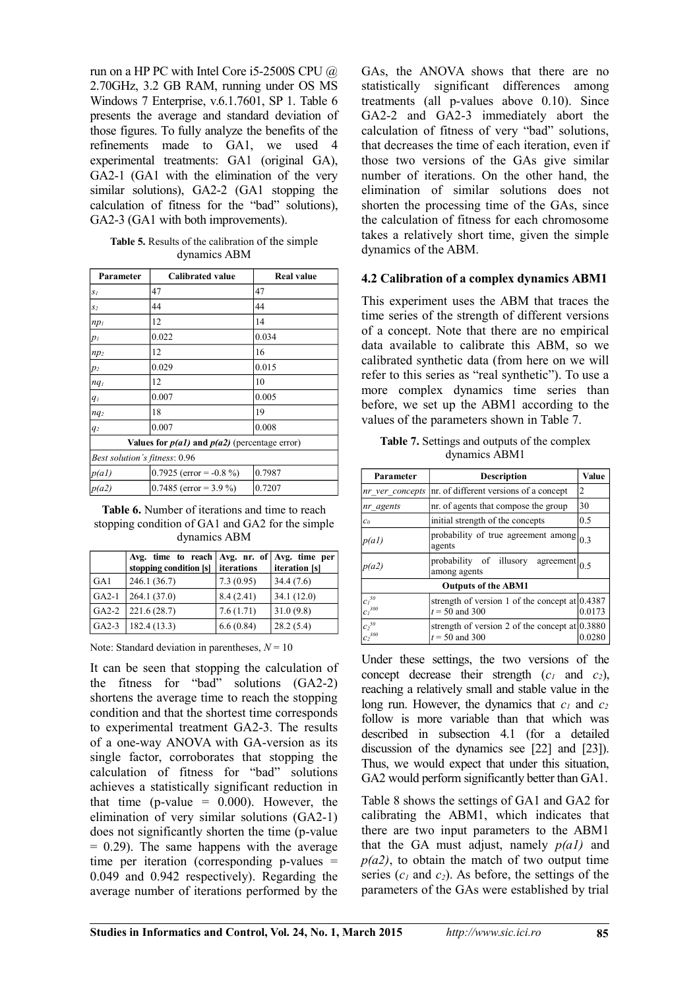run on a HP PC with Intel Core i5-2500S CPU @ 2.70GHz, 3.2 GB RAM, running under OS MS Windows 7 Enterprise, v.6.1.7601, SP 1. Table 6 presents the average and standard deviation of those figures. To fully analyze the benefits of the refinements made to GA1, we used 4 experimental treatments: GA1 (original GA), GA2-1 (GA1 with the elimination of the very similar solutions), GA2-2 (GA1 stopping the calculation of fitness for the "bad" solutions), GA2-3 (GA1 with both improvements).

**Table 5.** Results of the calibration of the simple dynamics ABM

| Parameter                                         | <b>Calibrated value</b>   | <b>Real value</b> |  |  |
|---------------------------------------------------|---------------------------|-------------------|--|--|
| $S_I$                                             | 47                        | 47                |  |  |
| $S_2$                                             | 44                        | 44                |  |  |
| $np_1$                                            | 12                        | 14                |  |  |
| pı                                                | 0.022                     | 0.034             |  |  |
| $np_2$                                            | 12                        | 16                |  |  |
| p2                                                | 0.029                     | 0.015             |  |  |
| nq <sub>I</sub>                                   | 12                        | 10                |  |  |
| $q_I$                                             | 0.007                     | 0.005             |  |  |
| $nq_2$                                            | 18                        | 19                |  |  |
| q <sub>2</sub>                                    | 0.007                     | 0.008             |  |  |
| Values for $p(a1)$ and $p(a2)$ (percentage error) |                           |                   |  |  |
| Best solution's fitness: 0.96                     |                           |                   |  |  |
| p(a)                                              | $0.7925$ (error = -0.8 %) | 0.7987            |  |  |
| p(a2)                                             | 0.7485 (error = $3.9\%$ ) | 0.7207            |  |  |

**Table 6.** Number of iterations and time to reach stopping condition of GA1 and GA2 for the simple dynamics ABM

|         | Avg. time to reach $Avg.$ nr. of $Avg.$ time per<br>stopping condition [s] | iterations | iteration [s] |
|---------|----------------------------------------------------------------------------|------------|---------------|
| GAI     | 246.1 (36.7)                                                               | 7.3(0.95)  | 34.4(7.6)     |
| $GA2-1$ | 264.1(37.0)                                                                | 8.4(2.41)  | 34.1(12.0)    |
| $GA2-2$ | 221.6(28.7)                                                                | 7.6(1.71)  | 31.0(9.8)     |
| $GA2-3$ | 182.4 (13.3)                                                               | 6.6(0.84)  | 28.2(5.4)     |

Note: Standard deviation in parentheses,  $N = 10$ 

It can be seen that stopping the calculation of the fitness for "bad" solutions (GA2-2) shortens the average time to reach the stopping condition and that the shortest time corresponds to experimental treatment GA2-3. The results of a one-way ANOVA with GA-version as its single factor, corroborates that stopping the calculation of fitness for "bad" solutions achieves a statistically significant reduction in that time (p-value  $= 0.000$ ). However, the elimination of very similar solutions (GA2-1) does not significantly shorten the time (p-value  $= 0.29$ ). The same happens with the average time per iteration (corresponding p-values = 0.049 and 0.942 respectively). Regarding the average number of iterations performed by the

GAs, the ANOVA shows that there are no statistically significant differences among treatments (all p-values above 0.10). Since GA2-2 and GA2-3 immediately abort the calculation of fitness of very "bad" solutions, that decreases the time of each iteration, even if those two versions of the GAs give similar number of iterations. On the other hand, the elimination of similar solutions does not shorten the processing time of the GAs, since the calculation of fitness for each chromosome takes a relatively short time, given the simple dynamics of the ABM.

#### **4.2 Calibration of a complex dynamics ABM1**

This experiment uses the ABM that traces the time series of the strength of different versions of a concept. Note that there are no empirical data available to calibrate this ABM, so we calibrated synthetic data (from here on we will refer to this series as "real synthetic"). To use a more complex dynamics time series than before, we set up the ABM1 according to the values of the parameters shown in Table 7.

**Table 7.** Settings and outputs of the complex dynamics ABM1

| Parameter                                                                                             | <b>Description</b>                                                   | Value  |  |
|-------------------------------------------------------------------------------------------------------|----------------------------------------------------------------------|--------|--|
| nr ver concepts                                                                                       | nr. of different versions of a concept<br>2                          |        |  |
| nr agents                                                                                             | nr. of agents that compose the group                                 | 30     |  |
| c <sub>0</sub>                                                                                        | initial strength of the concepts                                     | 0.5    |  |
| p(a)                                                                                                  | probability of true agreement among<br>agents                        | 0.3    |  |
| $\overline{\text{probability}}$ of illusory agreement $\vert_{0.5}$<br>p(a2)<br>among agents          |                                                                      |        |  |
| <b>Outputs of the ABM1</b>                                                                            |                                                                      |        |  |
| $ci$ <sup>50</sup><br>${c_I}^{300}$                                                                   | strength of version 1 of the concept at $0.4387$<br>$t = 50$ and 300 | 0.0173 |  |
| ${c_2}^{50}$<br>strength of version 2 of the concept at $0.3880$<br>${c_2}^{300}$<br>$t = 50$ and 300 |                                                                      |        |  |

Under these settings, the two versions of the concept decrease their strength (*c1* and *c2*), reaching a relatively small and stable value in the long run. However, the dynamics that  $c_1$  and  $c_2$ follow is more variable than that which was described in subsection 4.1 (for a detailed discussion of the dynamics see [22] and [23]). Thus, we would expect that under this situation, GA2 would perform significantly better than GA1.

Table 8 shows the settings of GA1 and GA2 for calibrating the ABM1, which indicates that there are two input parameters to the ABM1 that the GA must adjust, namely *p(a1)* and  $p(a2)$ , to obtain the match of two output time series  $(c_1 \text{ and } c_2)$ . As before, the settings of the parameters of the GAs were established by trial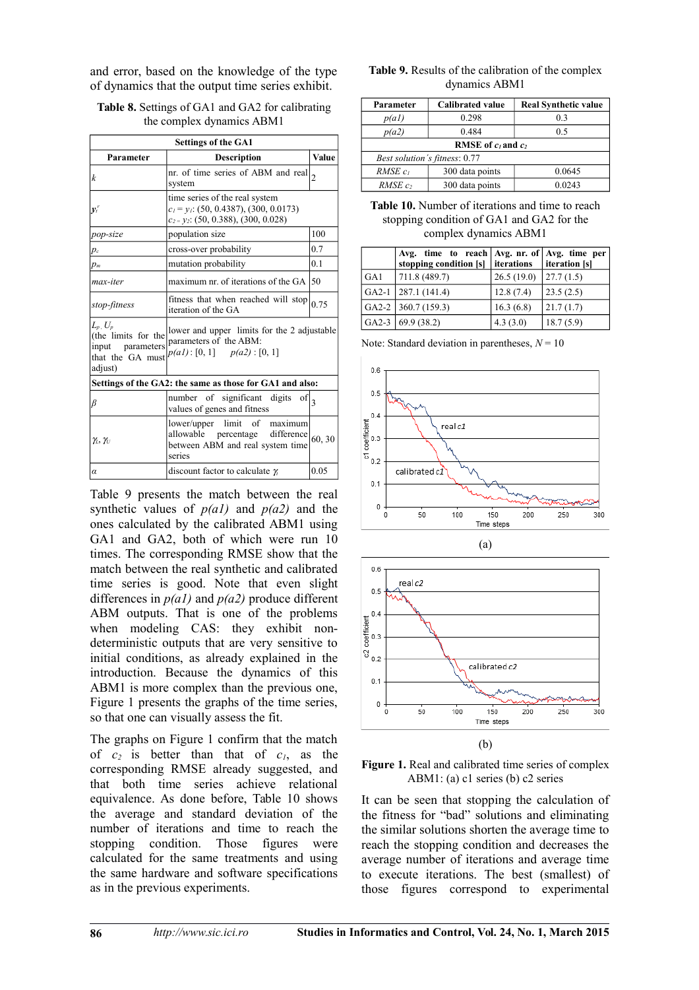and error, based on the knowledge of the type of dynamics that the output time series exhibit.

| <b>Table 8.</b> Settings of GA1 and GA2 for calibrating |
|---------------------------------------------------------|
| the complex dynamics ABM1                               |

| <b>Settings of the GA1</b>                                                                                                                                                                          |                                                                                                                              |                |  |  |
|-----------------------------------------------------------------------------------------------------------------------------------------------------------------------------------------------------|------------------------------------------------------------------------------------------------------------------------------|----------------|--|--|
| Parameter                                                                                                                                                                                           | <b>Description</b>                                                                                                           | Value          |  |  |
| k                                                                                                                                                                                                   | nr. of time series of ABM and real<br>system                                                                                 | $\overline{2}$ |  |  |
| $v_i^r$                                                                                                                                                                                             | time series of the real system<br>$c_1 = y_1$ : (50, 0.4387), (300, 0.0173)<br>$c_{2}$ = $y_{2}$ : (50, 0.388), (300, 0.028) |                |  |  |
| pop-size                                                                                                                                                                                            | population size                                                                                                              | 100            |  |  |
| $p_c$                                                                                                                                                                                               | cross-over probability                                                                                                       | 0.7            |  |  |
| $p_m$                                                                                                                                                                                               | mutation probability                                                                                                         | 0.1            |  |  |
| max-iter                                                                                                                                                                                            | maximum nr. of iterations of the GA                                                                                          | 150            |  |  |
| stop-fitness                                                                                                                                                                                        | fitness that when reached will stop<br>iteration of the GA                                                                   | 0.75           |  |  |
| $L_p$ , $U_p$<br>lower and upper limits for the 2 adjustable<br>(the limits for the<br>parameters of the ABM:<br>input parameters<br>$p(a1): [0, 1]$ $p(a2): [0, 1]$<br>that the GA must<br>adjust) |                                                                                                                              |                |  |  |
|                                                                                                                                                                                                     | Settings of the GA2: the same as those for GA1 and also:                                                                     |                |  |  |
| β                                                                                                                                                                                                   | number of significant digits<br>of<br>values of genes and fitness                                                            | $\mathbf{3}$   |  |  |
| $\gamma_L, \gamma_U$                                                                                                                                                                                | lower/upper limit of maximum<br>allowable percentage difference<br>between ABM and real system time<br>series                | 60, 30         |  |  |
| α                                                                                                                                                                                                   | discount factor to calculate $\gamma$                                                                                        | 0.05           |  |  |

Table 9 presents the match between the real synthetic values of *p(a1)* and *p(a2)* and the ones calculated by the calibrated ABM1 using GA1 and GA2, both of which were run 10 times. The corresponding RMSE show that the match between the real synthetic and calibrated time series is good. Note that even slight differences in *p(a1)* and *p(a2)* produce different ABM outputs. That is one of the problems when modeling CAS: they exhibit nondeterministic outputs that are very sensitive to initial conditions, as already explained in the introduction. Because the dynamics of this ABM1 is more complex than the previous one, Figure 1 presents the graphs of the time series, so that one can visually assess the fit.

The graphs on Figure 1 confirm that the match of *c2* is better than that of *c1*, as the corresponding RMSE already suggested, and that both time series achieve relational equivalence. As done before, Table 10 shows the average and standard deviation of the number of iterations and time to reach the stopping condition. Those figures were calculated for the same treatments and using the same hardware and software specifications as in the previous experiments.

#### **Table 9.** Results of the calibration of the complex dynamics ABM1

| Parameter                      | <b>Calibrated value</b> | <b>Real Synthetic value</b> |  |  |
|--------------------------------|-------------------------|-----------------------------|--|--|
| p(a)                           | 0.298                   | 0.3                         |  |  |
| p(a2)                          | 0.484                   | 0.5                         |  |  |
| <b>RMSE</b> of $c_1$ and $c_2$ |                         |                             |  |  |
| Best solution's fitness: 0.77  |                         |                             |  |  |
| $RMSE$ $c_1$                   | 300 data points         | 0.0645                      |  |  |
| $RMSE$ c,                      | 300 data points         | 0.0243                      |  |  |

#### **Table 10.** Number of iterations and time to reach stopping condition of GA1 and GA2 for the complex dynamics ABM1

|     | Avg. time to reach $\vert$ Avg. nr. of $\vert$ Avg. time per<br>stopping condition [s] | <i>iterations</i> | iteration [s] |
|-----|----------------------------------------------------------------------------------------|-------------------|---------------|
| GA1 | 711.8 (489.7)                                                                          | 26.5(19.0)        | 27.7(1.5)     |
|     | GA2-1 $ 287.1(141.4)$                                                                  | 12.8(7.4)         | 23.5(2.5)     |
|     | GA2-2   360.7 (159.3)                                                                  | 16.3(6.8)         | 21.7(1.7)     |
|     | GA2-3 $(69.9(38.2))$                                                                   | 4.3(3.0)          | 18.7(5.9)     |

Note: Standard deviation in parentheses,  $N = 10$ 





(b)

Figure 1. Real and calibrated time series of complex ABM1: (a) c1 series (b) c2 series

It can be seen that stopping the calculation of the fitness for "bad" solutions and eliminating the similar solutions shorten the average time to reach the stopping condition and decreases the average number of iterations and average time to execute iterations. The best (smallest) of those figures correspond to experimental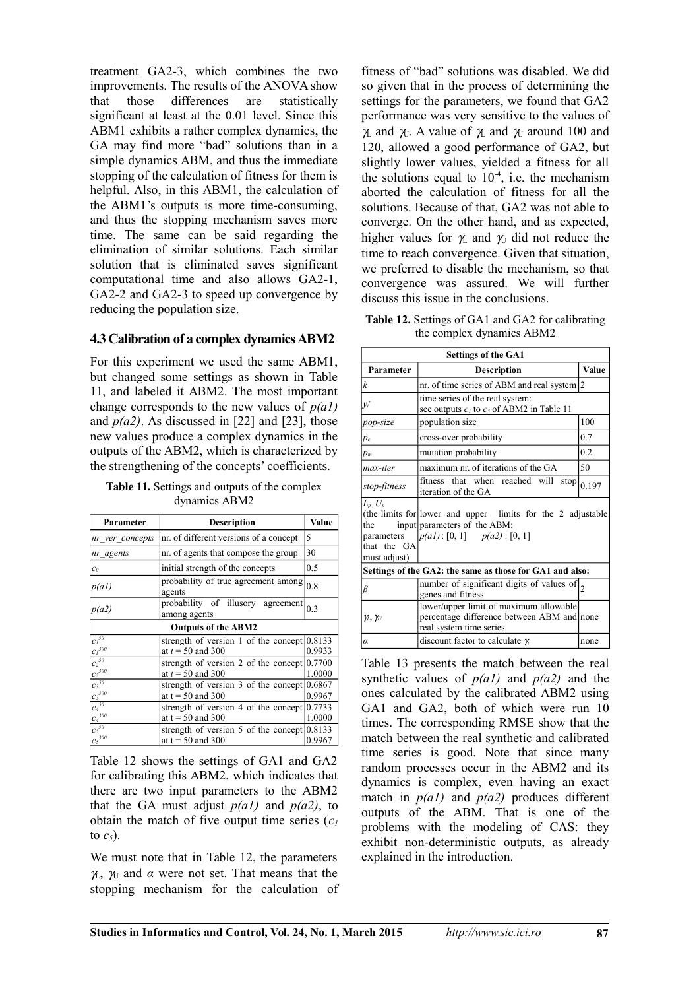treatment GA2-3, which combines the two improvements. The results of the ANOVA show<br>that those differences are statistically that those differences are statistically significant at least at the 0.01 level. Since this ABM1 exhibits a rather complex dynamics, the GA may find more "bad" solutions than in a simple dynamics ABM, and thus the immediate stopping of the calculation of fitness for them is helpful. Also, in this ABM1, the calculation of the ABM1's outputs is more time-consuming, and thus the stopping mechanism saves more time. The same can be said regarding the elimination of similar solutions. Each similar solution that is eliminated saves significant computational time and also allows GA2-1, GA2-2 and GA2-3 to speed up convergence by reducing the population size.

#### **4.3 Calibration of a complex dynamics ABM2**

For this experiment we used the same ABM1, but changed some settings as shown in Table 11, and labeled it ABM2. The most important change corresponds to the new values of *p(a1)* and  $p(a2)$ . As discussed in [22] and [23], those new values produce a complex dynamics in the outputs of the ABM2, which is characterized by the strengthening of the concepts' coefficients.

**Table 11.** Settings and outputs of the complex dynamics ABM2

| Parameter                          | <b>Description</b>                                                           | Value  |  |  |  |
|------------------------------------|------------------------------------------------------------------------------|--------|--|--|--|
| nr ver concepts                    | nr. of different versions of a concept                                       | 5      |  |  |  |
| nr agents                          | nr. of agents that compose the group                                         | 30     |  |  |  |
| c <sub>0</sub>                     | initial strength of the concepts                                             | 0.5    |  |  |  |
| p(a)                               | probability of true agreement among<br>agents                                | 0.8    |  |  |  |
| p(a2)                              | probability of illusory agreement<br>among agents                            | 0.3    |  |  |  |
| <b>Outputs of the ABM2</b>         |                                                                              |        |  |  |  |
| $c_1^{50}$<br>${C_I}^{300}$        | strength of version 1 of the concept $0.8133$<br>at $t = 50$ and 300         | 0.9933 |  |  |  |
| $c_2^{50}$<br>${c_2}^{300}$        | strength of version 2 of the concept $ 0.7700\rangle$<br>at $t = 50$ and 300 | 1.0000 |  |  |  |
| $c^{50}$<br>${c_3}^{300}$          | strength of version 3 of the concept $0.6867$<br>at $t = 50$ and 300         | 0.9967 |  |  |  |
| $c_4^{\,50}$<br>$C_4^{300}$        | strength of version 4 of the concept $(0.7733)$<br>at $t = 50$ and 300       | 1.0000 |  |  |  |
| $c_5^{50}$<br>$c_5$ <sup>300</sup> | strength of version 5 of the concept $0.8133$<br>at $t = 50$ and 300         | 0.9967 |  |  |  |

Table 12 shows the settings of GA1 and GA2 for calibrating this ABM2, which indicates that there are two input parameters to the ABM2 that the GA must adjust  $p(a1)$  and  $p(a2)$ , to obtain the match of five output time series  $(c<sub>l</sub>)$ to  $c_5$ ).

We must note that in Table 12, the parameters  $γ<sub>L</sub>, γ<sub>U</sub>$  and *α* were not set. That means that the stopping mechanism for the calculation of fitness of "bad" solutions was disabled. We did so given that in the process of determining the settings for the parameters, we found that GA2 performance was very sensitive to the values of  $γ$ <sub>L</sub> and  $γ$ <sub>U</sub>. A value of  $γ$ <sub>L</sub> and  $γ$ <sub>U</sub> around 100 and 120, allowed a good performance of GA2, but slightly lower values, yielded a fitness for all the solutions equal to  $10^{-4}$ , i.e. the mechanism aborted the calculation of fitness for all the solutions. Because of that, GA2 was not able to converge. On the other hand, and as expected, higher values for  $\gamma_L$  and  $\gamma_U$  did not reduce the time to reach convergence. Given that situation, we preferred to disable the mechanism, so that convergence was assured. We will further discuss this issue in the conclusions.

**Table 12.** Settings of GA1 and GA2 for calibrating the complex dynamics ABM2

| <b>Settings of the GA1</b>                                                    |                                                                                                                                |      |  |  |  |
|-------------------------------------------------------------------------------|--------------------------------------------------------------------------------------------------------------------------------|------|--|--|--|
| Parameter                                                                     | <b>Description</b>                                                                                                             |      |  |  |  |
| k                                                                             | nr. of time series of ABM and real system $ 2$                                                                                 |      |  |  |  |
| $y_t^r$                                                                       | time series of the real system:<br>see outputs $c_1$ to $c_5$ of ABM2 in Table 11                                              |      |  |  |  |
| pop-size                                                                      | population size                                                                                                                | 100  |  |  |  |
| $p_c$                                                                         | cross-over probability                                                                                                         | 0.7  |  |  |  |
| $p_m$                                                                         | mutation probability                                                                                                           |      |  |  |  |
| max-iter                                                                      | maximum nr. of iterations of the GA                                                                                            | 50   |  |  |  |
| fitness that when reached will<br>stop<br>stop-fitness<br>iteration of the GA |                                                                                                                                |      |  |  |  |
| $L_p$ , $U_p$<br>the<br>parameters<br>that the GA<br>must adjust)             | (the limits for lower and upper limits for the 2 adjustable<br>input parameters of the ABM:<br>$p(a1): [0, 1]$ $p(a2): [0, 1]$ |      |  |  |  |
| Settings of the GA2: the same as those for GA1 and also:                      |                                                                                                                                |      |  |  |  |
| β                                                                             | number of significant digits of values of $\vert_2$<br>genes and fitness                                                       |      |  |  |  |
| $\gamma_L, \gamma_U$                                                          | lower/upper limit of maximum allowable<br>percentage difference between ABM and none<br>real system time series                |      |  |  |  |
| $\alpha$                                                                      | discount factor to calculate $\gamma$                                                                                          | none |  |  |  |

Table 13 presents the match between the real synthetic values of *p(a1)* and *p(a2)* and the ones calculated by the calibrated ABM2 using GA1 and GA2, both of which were run 10 times. The corresponding RMSE show that the match between the real synthetic and calibrated time series is good. Note that since many random processes occur in the ABM2 and its dynamics is complex, even having an exact match in  $p(a1)$  and  $p(a2)$  produces different outputs of the ABM. That is one of the problems with the modeling of CAS: they exhibit non-deterministic outputs, as already explained in the introduction.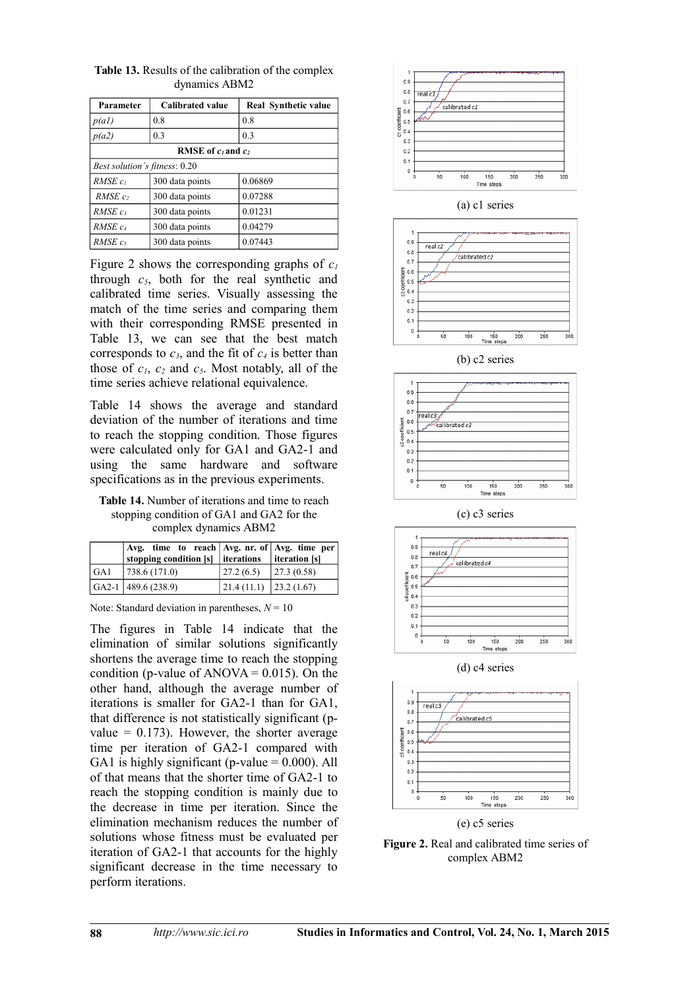| Parameter                            | <b>Calibrated value</b> | Real Synthetic value |  |  |  |  |
|--------------------------------------|-------------------------|----------------------|--|--|--|--|
| p(a)                                 | 0.8                     | 0.8                  |  |  |  |  |
| p(a2)                                | 0.3                     | 0.3                  |  |  |  |  |
| <b>RMSE</b> of $c_1$ and $c_2$       |                         |                      |  |  |  |  |
| <i>Best solution's fitness:</i> 0.20 |                         |                      |  |  |  |  |
| $RMSE$ $c_1$                         | 300 data points         | 0.06869              |  |  |  |  |
| $RMSE$ $c$                           | 300 data points         | 0.07288              |  |  |  |  |
| $RMSE$ $c_3$                         | 300 data points         | 0.01231              |  |  |  |  |
| RMSE <sub>c4</sub>                   | 300 data points         | 0.04279              |  |  |  |  |
| $RMSE$ $c5$                          | 300 data points         | 0.07443              |  |  |  |  |

**Table 13.** Results of the calibration of the complex dynamics ABM2

Figure 2 shows the corresponding graphs of  $c_1$ through  $c_5$ , both for the real synthetic and calibrated time series. Visually assessing the match of the time series and comparing them with their corresponding RMSE presented in Table 13, we can see that the best match corresponds to  $c_3$ , and the fit of  $c_4$  is better than those of  $c_1$ ,  $c_2$  and  $c_5$ . Most notably, all of the time series achieve relational equivalence.

Table 14 shows the average and standard deviation of the number of iterations and time to reach the stopping condition. Those figures were calculated only for GA1 and GA2-1 and using the same hardware and software specifications as in the previous experiments.

**Table 14.** Number of iterations and time to reach stopping condition of GA1 and GA2 for the complex dynamics ABM2

|     | Avg. time to reach   Avg. nr. of   Avg. time per  <br>stopping condition $[s]$ iterations |                                         | iteration [s] |
|-----|-------------------------------------------------------------------------------------------|-----------------------------------------|---------------|
| GAI | 738.6(171.0)                                                                              | 27.2(6.5)                               | 27.3(0.58)    |
|     | $GA2-1$ 489.6 (238.9)                                                                     | $\vert$ 21.4 (11.1) $\vert$ 23.2 (1.67) |               |

Note: Standard deviation in parentheses,  $N = 10$ 

The figures in Table 14 indicate that the elimination of similar solutions significantly shortens the average time to reach the stopping condition (p-value of  $ANOVA = 0.015$ ). On the other hand, although the average number of iterations is smaller for GA2-1 than for GA1, that difference is not statistically significant (pvalue  $= 0.173$ ). However, the shorter average time per iteration of GA2-1 compared with GA1 is highly significant (p-value  $= 0.000$ ). All of that means that the shorter time of GA2-1 to reach the stopping condition is mainly due to the decrease in time per iteration. Since the elimination mechanism reduces the number of solutions whose fitness must be evaluated per iteration of GA2-1 that accounts for the highly significant decrease in the time necessary to perform iterations.







(b) c2 series



(c) c3 series



(d) c4 series



(e) c5 series

**Figure 2.** Real and calibrated time series of complex ABM2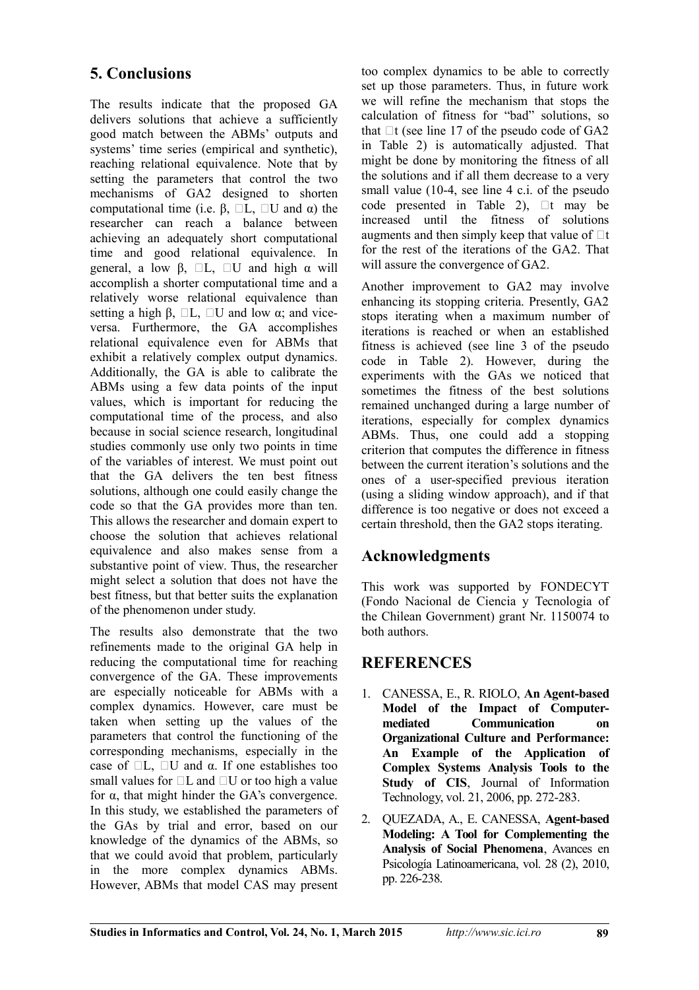## **5. Conclusions**

The results indicate that the proposed GA delivers solutions that achieve a sufficiently good match between the ABMs' outputs and systems' time series (empirical and synthetic), reaching relational equivalence. Note that by setting the parameters that control the two mechanisms of GA2 designed to shorten computational time (i.e. β,  $\Box L$ ,  $\Box U$  and α) the researcher can reach a balance between achieving an adequately short computational time and good relational equivalence. In general, a low β,  $\Box L$ ,  $\Box U$  and high  $\alpha$  will accomplish a shorter computational time and a relatively worse relational equivalence than setting a high  $\beta$ ,  $\Box L$ ,  $\Box U$  and low  $\alpha$ ; and viceversa. Furthermore, the GA accomplishes relational equivalence even for ABMs that exhibit a relatively complex output dynamics. Additionally, the GA is able to calibrate the ABMs using a few data points of the input values, which is important for reducing the computational time of the process, and also because in social science research, longitudinal studies commonly use only two points in time of the variables of interest. We must point out that the GA delivers the ten best fitness solutions, although one could easily change the code so that the GA provides more than ten. This allows the researcher and domain expert to choose the solution that achieves relational equivalence and also makes sense from a substantive point of view. Thus, the researcher might select a solution that does not have the best fitness, but that better suits the explanation of the phenomenon under study.

The results also demonstrate that the two refinements made to the original GA help in reducing the computational time for reaching convergence of the GA. These improvements are especially noticeable for ABMs with a complex dynamics. However, care must be taken when setting up the values of the parameters that control the functioning of the corresponding mechanisms, especially in the case of  $\Box L$ ,  $\Box U$  and  $\alpha$ . If one establishes too small values for  $\Box L$  and  $\Box U$  or too high a value for α, that might hinder the GA's convergence. In this study, we established the parameters of the GAs by trial and error, based on our knowledge of the dynamics of the ABMs, so that we could avoid that problem, particularly in the more complex dynamics ABMs. However, ABMs that model CAS may present too complex dynamics to be able to correctly set up those parameters. Thus, in future work we will refine the mechanism that stops the calculation of fitness for "bad" solutions, so that  $\Box$  (see line 17 of the pseudo code of GA2 in Table 2) is automatically adjusted. That might be done by monitoring the fitness of all the solutions and if all them decrease to a very small value (10-4, see line 4 c.i. of the pseudo code presented in Table 2),  $\Box t$  may be increased until the fitness of solutions augments and then simply keep that value of  $\Box t$ for the rest of the iterations of the GA2. That will assure the convergence of GA2.

Another improvement to GA2 may involve enhancing its stopping criteria. Presently, GA2 stops iterating when a maximum number of iterations is reached or when an established fitness is achieved (see line 3 of the pseudo code in Table 2). However, during the experiments with the GAs we noticed that sometimes the fitness of the best solutions remained unchanged during a large number of iterations, especially for complex dynamics ABMs. Thus, one could add a stopping criterion that computes the difference in fitness between the current iteration's solutions and the ones of a user-specified previous iteration (using a sliding window approach), and if that difference is too negative or does not exceed a certain threshold, then the GA2 stops iterating.

## **Acknowledgments**

This work was supported by FONDECYT (Fondo Nacional de Ciencia y Tecnologia of the Chilean Government) grant Nr. 1150074 to both authors.

## **REFERENCES**

- 1. CANESSA, E., R. RIOLO, **An Agent-based Model of the Impact of Computermediated Communication on Organizational Culture and Performance: An Example of the Application of Complex Systems Analysis Tools to the Study of CIS**, Journal of Information Technology, vol. 21, 2006, pp. 272-283.
- 2. QUEZADA, A., E. CANESSA, **Agent-based Modeling: A Tool for Complementing the Analysis of Social Phenomena**, Avances en Psicología Latinoamericana, vol. 28 (2), 2010, pp. 226-238.